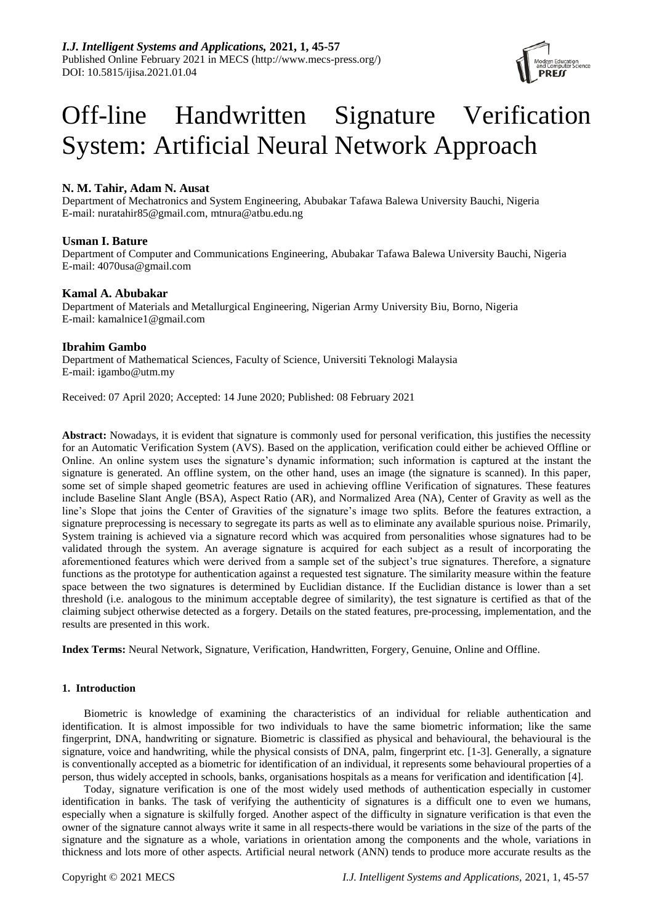

# Off-line Handwritten Signature Verification System: Artificial Neural Network Approach

# **N. M. Tahir, Adam N. Ausat**

Department of Mechatronics and System Engineering, Abubakar Tafawa Balewa University Bauchi, Nigeria E-mail: nuratahir85@gmail.com, mtnura@atbu.edu.ng

## **Usman I. Bature**

Department of Computer and Communications Engineering, Abubakar Tafawa Balewa University Bauchi, Nigeria E-mail: 4070usa@gmail.com

## **Kamal A. Abubakar**

Department of Materials and Metallurgical Engineering, Nigerian Army University Biu, Borno, Nigeria E-mail: kamalnice1@gmail.com

## **Ibrahim Gambo**

Department of Mathematical Sciences, Faculty of Science, Universiti Teknologi Malaysia E-mail: igambo@utm.my

Received: 07 April 2020; Accepted: 14 June 2020; Published: 08 February 2021

**Abstract:** Nowadays, it is evident that signature is commonly used for personal verification, this justifies the necessity for an Automatic Verification System (AVS). Based on the application, verification could either be achieved Offline or Online. An online system uses the signature's dynamic information; such information is captured at the instant the signature is generated. An offline system, on the other hand, uses an image (the signature is scanned). In this paper, some set of simple shaped geometric features are used in achieving offline Verification of signatures. These features include Baseline Slant Angle (BSA), Aspect Ratio (AR), and Normalized Area (NA), Center of Gravity as well as the line's Slope that joins the Center of Gravities of the signature's image two splits. Before the features extraction, a signature preprocessing is necessary to segregate its parts as well as to eliminate any available spurious noise. Primarily, System training is achieved via a signature record which was acquired from personalities whose signatures had to be validated through the system. An average signature is acquired for each subject as a result of incorporating the aforementioned features which were derived from a sample set of the subject's true signatures. Therefore, a signature functions as the prototype for authentication against a requested test signature. The similarity measure within the feature space between the two signatures is determined by Euclidian distance. If the Euclidian distance is lower than a set threshold (i.e. analogous to the minimum acceptable degree of similarity), the test signature is certified as that of the claiming subject otherwise detected as a forgery. Details on the stated features, pre-processing, implementation, and the results are presented in this work.

**Index Terms:** Neural Network, Signature, Verification, Handwritten, Forgery, Genuine, Online and Offline.

## **1. Introduction**

Biometric is knowledge of examining the characteristics of an individual for reliable authentication and identification. It is almost impossible for two individuals to have the same biometric information; like the same fingerprint, DNA, handwriting or signature. Biometric is classified as physical and behavioural, the behavioural is the signature, voice and handwriting, while the physical consists of DNA, palm, fingerprint etc. [1-3]. Generally, a signature is conventionally accepted as a biometric for identification of an individual, it represents some behavioural properties of a person, thus widely accepted in schools, banks, organisations hospitals as a means for verification and identification [4].

Today, signature verification is one of the most widely used methods of authentication especially in customer identification in banks. The task of verifying the authenticity of signatures is a difficult one to even we humans, especially when a signature is skilfully forged. Another aspect of the difficulty in signature verification is that even the owner of the signature cannot always write it same in all respects-there would be variations in the size of the parts of the signature and the signature as a whole, variations in orientation among the components and the whole, variations in thickness and lots more of other aspects. Artificial neural network (ANN) tends to produce more accurate results as the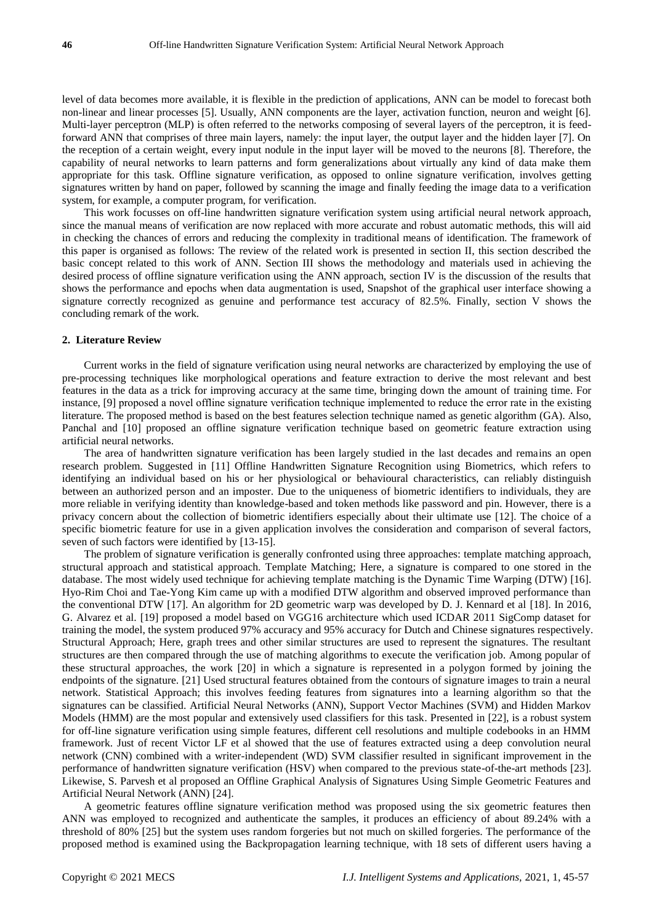level of data becomes more available, it is flexible in the prediction of applications, ANN can be model to forecast both non-linear and linear processes [5]. Usually, ANN components are the layer, activation function, neuron and weight [6]. Multi-layer perceptron (MLP) is often referred to the networks composing of several layers of the perceptron, it is feedforward ANN that comprises of three main layers, namely: the input layer, the output layer and the hidden layer [7]. On the reception of a certain weight, every input nodule in the input layer will be moved to the neurons [8]. Therefore, the capability of neural networks to learn patterns and form generalizations about virtually any kind of data make them appropriate for this task. Offline signature verification, as opposed to online signature verification, involves getting signatures written by hand on paper, followed by scanning the image and finally feeding the image data to a verification system, for example, a computer program, for verification.

This work focusses on off-line handwritten signature verification system using artificial neural network approach, since the manual means of verification are now replaced with more accurate and robust automatic methods, this will aid in checking the chances of errors and reducing the complexity in traditional means of identification. The framework of this paper is organised as follows: The review of the related work is presented in section II, this section described the basic concept related to this work of ANN. Section III shows the methodology and materials used in achieving the desired process of offline signature verification using the ANN approach, section IV is the discussion of the results that shows the performance and epochs when data augmentation is used, Snapshot of the graphical user interface showing a signature correctly recognized as genuine and performance test accuracy of 82.5%. Finally, section V shows the concluding remark of the work.

## **2. Literature Review**

Current works in the field of signature verification using neural networks are characterized by employing the use of pre-processing techniques like morphological operations and feature extraction to derive the most relevant and best features in the data as a trick for improving accuracy at the same time, bringing down the amount of training time. For instance, [9] proposed a novel offline signature verification technique implemented to reduce the error rate in the existing literature. The proposed method is based on the best features selection technique named as genetic algorithm (GA). Also, Panchal and [10] proposed an offline signature verification technique based on geometric feature extraction using artificial neural networks.

The area of handwritten signature verification has been largely studied in the last decades and remains an open research problem. Suggested in [11] Offline Handwritten Signature Recognition using Biometrics, which refers to identifying an individual based on his or her physiological or behavioural characteristics, can reliably distinguish between an authorized person and an imposter. Due to the uniqueness of biometric identifiers to individuals, they are more reliable in verifying identity than knowledge-based and token methods like password and pin. However, there is a privacy concern about the collection of biometric identifiers especially about their ultimate use [12]. The choice of a specific biometric feature for use in a given application involves the consideration and comparison of several factors, seven of such factors were identified by [13-15].

The problem of signature verification is generally confronted using three approaches: template matching approach, structural approach and statistical approach. Template Matching; Here, a signature is compared to one stored in the database. The most widely used technique for achieving template matching is the Dynamic Time Warping (DTW) [16]. Hyo-Rim Choi and Tae-Yong Kim came up with a modified DTW algorithm and observed improved performance than the conventional DTW [17]. An algorithm for 2D geometric warp was developed by D. J. Kennard et al [18]. In 2016, G. Alvarez et al. [19] proposed a model based on VGG16 architecture which used ICDAR 2011 SigComp dataset for training the model, the system produced 97% accuracy and 95% accuracy for Dutch and Chinese signatures respectively. Structural Approach; Here, graph trees and other similar structures are used to represent the signatures. The resultant structures are then compared through the use of matching algorithms to execute the verification job. Among popular of these structural approaches, the work [20] in which a signature is represented in a polygon formed by joining the endpoints of the signature. [21] Used structural features obtained from the contours of signature images to train a neural network. Statistical Approach; this involves feeding features from signatures into a learning algorithm so that the signatures can be classified. Artificial Neural Networks (ANN), Support Vector Machines (SVM) and Hidden Markov Models (HMM) are the most popular and extensively used classifiers for this task. Presented in [22], is a robust system for off-line signature verification using simple features, different cell resolutions and multiple codebooks in an HMM framework. Just of recent Victor LF et al showed that the use of features extracted using a deep convolution neural network (CNN) combined with a writer-independent (WD) SVM classifier resulted in significant improvement in the performance of handwritten signature verification (HSV) when compared to the previous state-of-the-art methods [23]. Likewise, S. Parvesh et al proposed an Offline Graphical Analysis of Signatures Using Simple Geometric Features and Artificial Neural Network (ANN) [24].

A geometric features offline signature verification method was proposed using the six geometric features then ANN was employed to recognized and authenticate the samples, it produces an efficiency of about 89.24% with a threshold of 80% [25] but the system uses random forgeries but not much on skilled forgeries. The performance of the proposed method is examined using the Backpropagation learning technique, with 18 sets of different users having a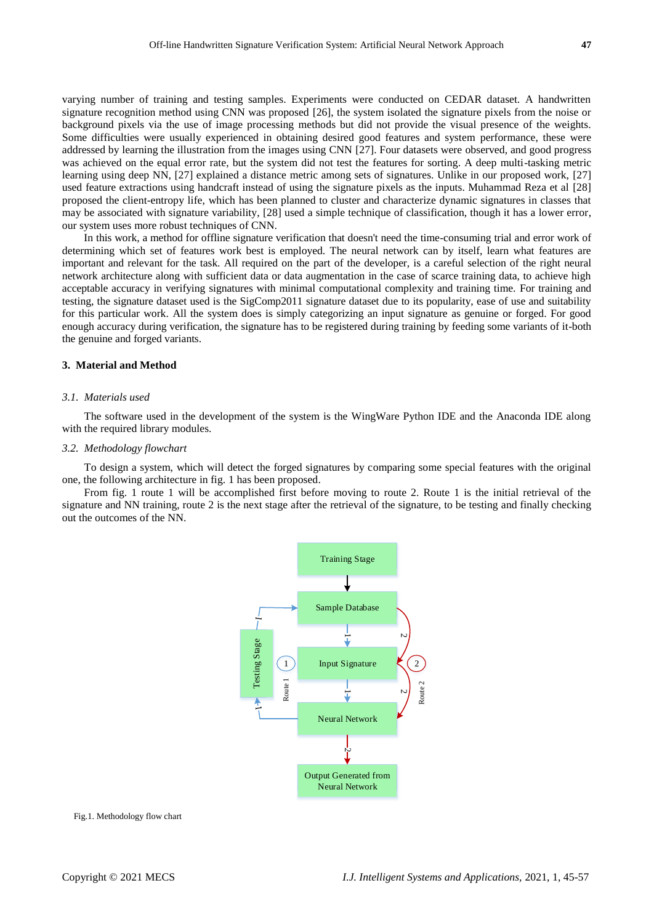varying number of training and testing samples. Experiments were conducted on CEDAR dataset. A handwritten signature recognition method using CNN was proposed [26], the system isolated the signature pixels from the noise or background pixels via the use of image processing methods but did not provide the visual presence of the weights. Some difficulties were usually experienced in obtaining desired good features and system performance, these were addressed by learning the illustration from the images using CNN [27]. Four datasets were observed, and good progress was achieved on the equal error rate, but the system did not test the features for sorting. A deep multi-tasking metric learning using deep NN, [27] explained a distance metric among sets of signatures. Unlike in our proposed work, [27] used feature extractions using handcraft instead of using the signature pixels as the inputs. Muhammad Reza et al [28] proposed the client-entropy life, which has been planned to cluster and characterize dynamic signatures in classes that may be associated with signature variability, [28] used a simple technique of classification, though it has a lower error, our system uses more robust techniques of CNN.

In this work, a method for offline signature verification that doesn't need the time-consuming trial and error work of determining which set of features work best is employed. The neural network can by itself, learn what features are important and relevant for the task. All required on the part of the developer, is a careful selection of the right neural network architecture along with sufficient data or data augmentation in the case of scarce training data, to achieve high acceptable accuracy in verifying signatures with minimal computational complexity and training time. For training and testing, the signature dataset used is the SigComp2011 signature dataset due to its popularity, ease of use and suitability for this particular work. All the system does is simply categorizing an input signature as genuine or forged. For good enough accuracy during verification, the signature has to be registered during training by feeding some variants of it-both the genuine and forged variants.

## **3. Material and Method**

#### *3.1. Materials used*

The software used in the development of the system is the WingWare Python IDE and the Anaconda IDE along with the required library modules.

## *3.2. Methodology flowchart*

To design a system, which will detect the forged signatures by comparing some special features with the original one, the following architecture in fig. 1 has been proposed.

From fig. 1 route 1 will be accomplished first before moving to route 2. Route 1 is the initial retrieval of the signature and NN training, route 2 is the next stage after the retrieval of the signature, to be testing and finally checking out the outcomes of the NN.



Fig.1. Methodology flow chart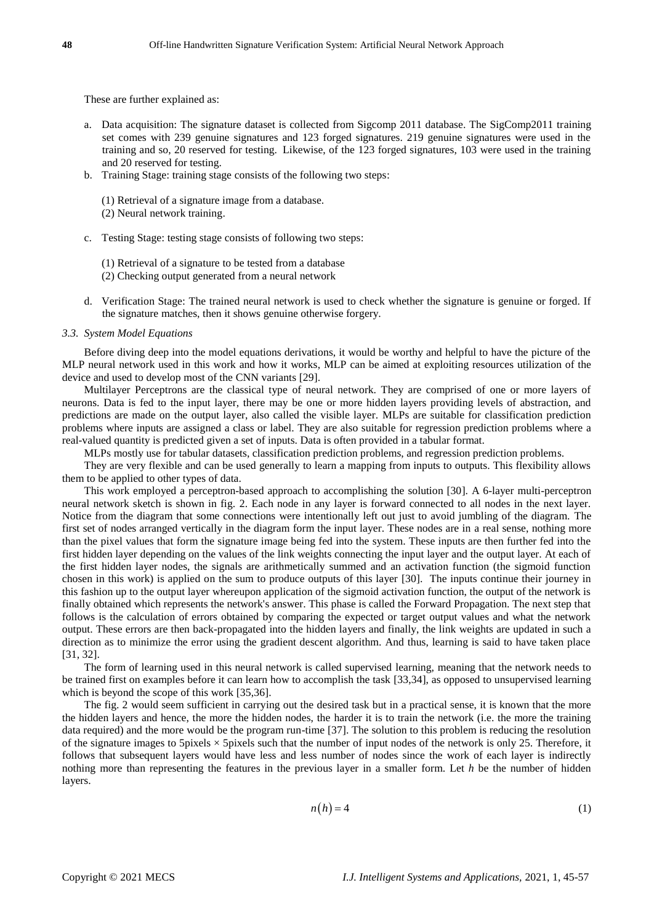These are further explained as:

- a. Data acquisition: The signature dataset is collected from Sigcomp 2011 database. The SigComp2011 training set comes with 239 genuine signatures and 123 forged signatures. 219 genuine signatures were used in the training and so, 20 reserved for testing. Likewise, of the 123 forged signatures, 103 were used in the training and 20 reserved for testing.
- b. Training Stage: training stage consists of the following two steps:
	- (1) Retrieval of a signature image from a database.
	- (2) Neural network training.
- c. Testing Stage: testing stage consists of following two steps:
	- (1) Retrieval of a signature to be tested from a database
	- (2) Checking output generated from a neural network
- d. Verification Stage: The trained neural network is used to check whether the signature is genuine or forged. If the signature matches, then it shows genuine otherwise forgery.

## *3.3. System Model Equations*

Before diving deep into the model equations derivations, it would be worthy and helpful to have the picture of the MLP neural network used in this work and how it works, MLP can be aimed at exploiting resources utilization of the device and used to develop most of the CNN variants [29].

Multilayer Perceptrons are the classical type of neural network. They are comprised of one or more layers of neurons. Data is fed to the input layer, there may be one or more hidden layers providing levels of abstraction, and predictions are made on the output layer, also called the visible layer. MLPs are suitable for classification prediction problems where inputs are assigned a class or label. They are also suitable for regression prediction problems where a real-valued quantity is predicted given a set of inputs. Data is often provided in a tabular format.

MLPs mostly use for tabular datasets, classification prediction problems, and regression prediction problems.

They are very flexible and can be used generally to learn a mapping from inputs to outputs. This flexibility allows them to be applied to other types of data.

This work employed a perceptron-based approach to accomplishing the solution [30]. A 6-layer multi-perceptron neural network sketch is shown in fig. 2. Each node in any layer is forward connected to all nodes in the next layer. Notice from the diagram that some connections were intentionally left out just to avoid jumbling of the diagram. The first set of nodes arranged vertically in the diagram form the input layer. These nodes are in a real sense, nothing more than the pixel values that form the signature image being fed into the system. These inputs are then further fed into the first hidden layer depending on the values of the link weights connecting the input layer and the output layer. At each of the first hidden layer nodes, the signals are arithmetically summed and an activation function (the sigmoid function chosen in this work) is applied on the sum to produce outputs of this layer [30]. The inputs continue their journey in this fashion up to the output layer whereupon application of the sigmoid activation function, the output of the network is finally obtained which represents the network's answer. This phase is called the Forward Propagation. The next step that follows is the calculation of errors obtained by comparing the expected or target output values and what the network output. These errors are then back-propagated into the hidden layers and finally, the link weights are updated in such a direction as to minimize the error using the gradient descent algorithm. And thus, learning is said to have taken place [31, 32].

The form of learning used in this neural network is called supervised learning, meaning that the network needs to be trained first on examples before it can learn how to accomplish the task [33,34], as opposed to unsupervised learning which is beyond the scope of this work [35,36].

The fig. 2 would seem sufficient in carrying out the desired task but in a practical sense, it is known that the more the hidden layers and hence, the more the hidden nodes, the harder it is to train the network (i.e. the more the training data required) and the more would be the program run-time [37]. The solution to this problem is reducing the resolution of the signature images to 5pixels  $\times$  5pixels such that the number of input nodes of the network is only 25. Therefore, it follows that subsequent layers would have less and less number of nodes since the work of each layer is indirectly nothing more than representing the features in the previous layer in a smaller form. Let *h* be the number of hidden layers.

$$
n(h) = 4 \tag{1}
$$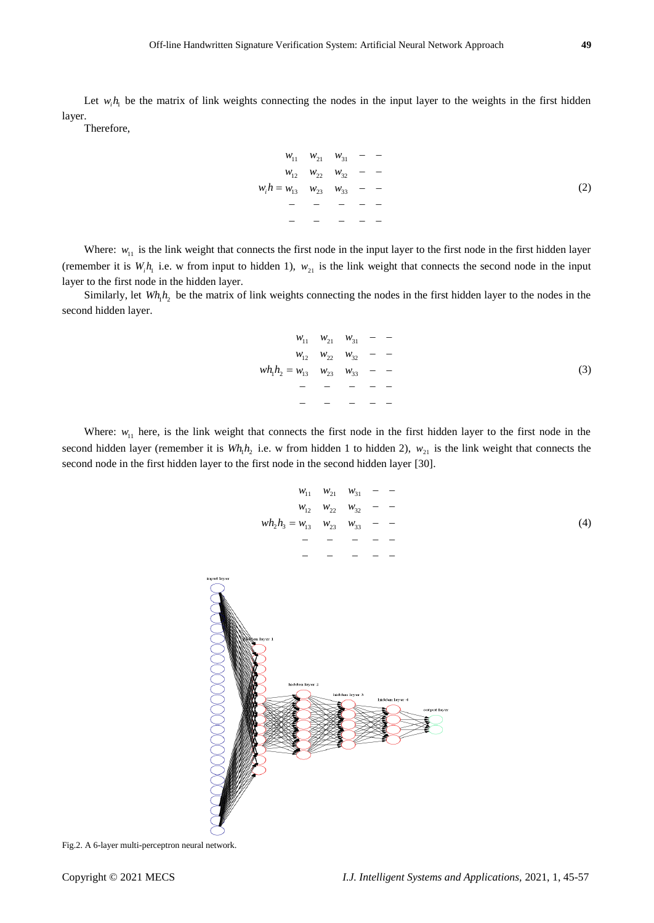Let  $w_i h_i$  be the matrix of link weights connecting the nodes in the input layer to the weights in the first hidden layer.

Therefore,

$$
w_{11} \t w_{21} \t w_{31} - -
$$
  
\n
$$
w_{12} \t w_{22} \t w_{32} - -
$$
  
\n
$$
w_i h = w_{13} \t w_{23} \t w_{33} - -
$$
  
\n
$$
- - - - - -
$$
  
\n
$$
- - - - - -
$$
  
\n
$$
- - - - - -
$$
  
\n
$$
(2)
$$

Where:  $w_{11}$  is the link weight that connects the first node in the input layer to the first node in the first hidden layer (remember it is  $W_i h_i$  i.e. w from input to hidden 1),  $W_{21}$  is the link weight that connects the second node in the input layer to the first node in the hidden layer.

Similarly, let  $Wh_1h_2$  be the matrix of link weights connecting the nodes in the first hidden layer to the nodes in the second hidden layer.

$$
w_{11} \t w_{21} \t w_{31} - -
$$
  
\n
$$
w_{12} \t w_{22} \t w_{32} - -
$$
  
\n
$$
w h_1 h_2 = w_{13} \t w_{23} \t w_{33} - -
$$
  
\n
$$
- - - - - -
$$
  
\n
$$
- - - - - -
$$
  
\n
$$
- - - - - -
$$
  
\n
$$
(3)
$$

Where:  $w_{11}$  here, is the link weight that connects the first node in the first hidden layer to the first node in the second hidden layer (remember it is  $Wh_1h_2$  i.e. w from hidden 1 to hidden 2),  $w_{21}$  is the link weight that connects the second node in the first hidden layer to the first node in the second hidden layer [30].

$$
w_{11} \t w_{21} \t w_{31} - -
$$
  
\n
$$
w_{12} \t w_{22} \t w_{32} - -
$$
  
\n
$$
w h_2 h_3 = w_{13} \t w_{23} \t w_{33} - -
$$
  
\n
$$
- - - - -
$$
  
\n
$$
- - - - -
$$
  
\n
$$
- - - - -
$$
  
\n(4)



Fig.2. A 6-layer multi-perceptron neural network.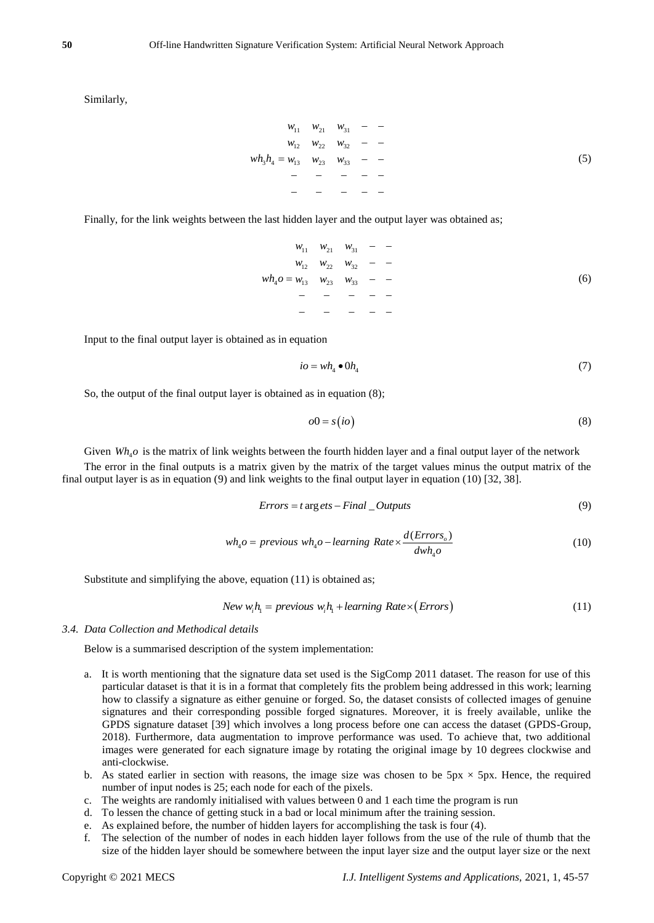Similarly,

$$
w_{11} \t w_{21} \t w_{31} - -
$$
  
\n
$$
w_{12} \t w_{22} \t w_{32} - -
$$
  
\n
$$
w h_3 h_4 = w_{13} \t w_{23} \t w_{33} - -
$$
  
\n
$$
- - - - - -
$$
  
\n
$$
- - - - - -
$$
  
\n
$$
- - - - - -
$$
  
\n
$$
(5)
$$

Finally, for the link weights between the last hidden layer and the output layer was obtained as;

11 21 31 12 22 32 <sup>4</sup> 13 23 33 *w w w w w w wh o w w w* (6)

Input to the final output layer is obtained as in equation

$$
io = wh_4 \bullet 0h_4 \tag{7}
$$

So, the output of the final output layer is obtained as in equation (8);

$$
o0 = s\left(i\sigma\right) \tag{8}
$$

Given  $Wh_4$ o is the matrix of link weights between the fourth hidden layer and a final output layer of the network

The error in the final outputs is a matrix given by the matrix of the target values minus the output matrix of the final output layer is as in equation (9) and link weights to the final output layer in equation (10) [32, 38].

$$
Errors = t \arg \text{ets} - Final\_OutputStream \tag{9}
$$

$$
wh_4o = previous\ wh_4o - learning\ Rate \times \frac{d(Errors_o)}{dwh_4o}
$$
\n<sup>(10)</sup>

Substitute and simplifying the above, equation (11) is obtained as;

$$
New w_i h_i = previous w_i h_i + learning Rate \times (Errors)
$$
\n(11)

## *3.4. Data Collection and Methodical details*

Below is a summarised description of the system implementation:

- a. It is worth mentioning that the signature data set used is the SigComp 2011 dataset. The reason for use of this particular dataset is that it is in a format that completely fits the problem being addressed in this work; learning how to classify a signature as either genuine or forged. So, the dataset consists of collected images of genuine signatures and their corresponding possible forged signatures. Moreover, it is freely available, unlike the GPDS signature dataset [39] which involves a long process before one can access the dataset (GPDS-Group, 2018). Furthermore, data augmentation to improve performance was used. To achieve that, two additional images were generated for each signature image by rotating the original image by 10 degrees clockwise and anti-clockwise.
- b. As stated earlier in section with reasons, the image size was chosen to be  $5px \times 5px$ . Hence, the required number of input nodes is 25; each node for each of the pixels.
- c. The weights are randomly initialised with values between 0 and 1 each time the program is run
- d. To lessen the chance of getting stuck in a bad or local minimum after the training session.
- e. As explained before, the number of hidden layers for accomplishing the task is four (4).
- f. The selection of the number of nodes in each hidden layer follows from the use of the rule of thumb that the size of the hidden layer should be somewhere between the input layer size and the output layer size or the next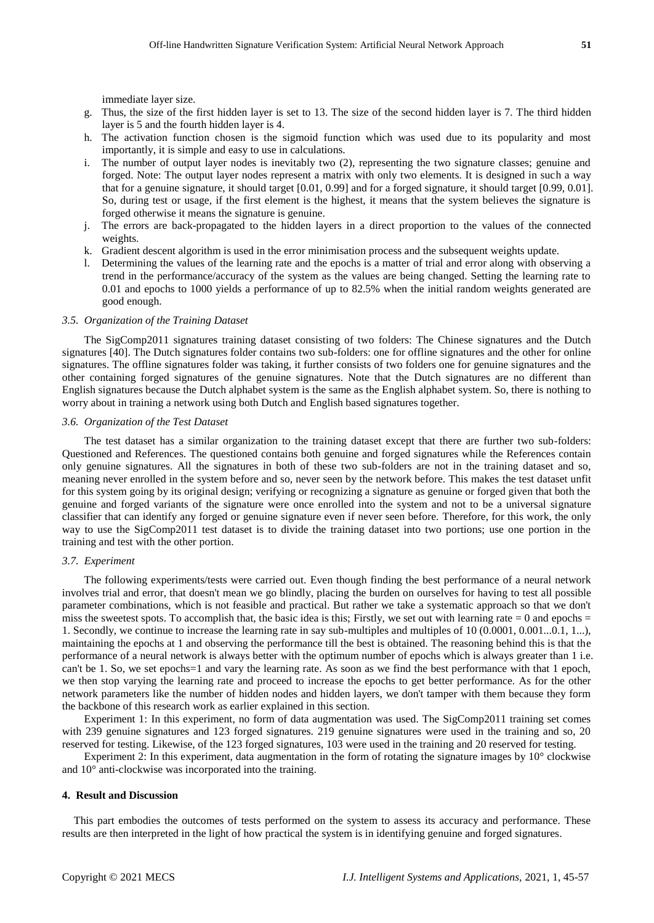immediate layer size.

- g. Thus, the size of the first hidden layer is set to 13. The size of the second hidden layer is 7. The third hidden layer is 5 and the fourth hidden layer is 4.
- h. The activation function chosen is the sigmoid function which was used due to its popularity and most importantly, it is simple and easy to use in calculations.
- i. The number of output layer nodes is inevitably two (2), representing the two signature classes; genuine and forged. Note: The output layer nodes represent a matrix with only two elements. It is designed in such a way that for a genuine signature, it should target [0.01, 0.99] and for a forged signature, it should target [0.99, 0.01]. So, during test or usage, if the first element is the highest, it means that the system believes the signature is forged otherwise it means the signature is genuine.
- j. The errors are back-propagated to the hidden layers in a direct proportion to the values of the connected weights.
- k. Gradient descent algorithm is used in the error minimisation process and the subsequent weights update.
- l. Determining the values of the learning rate and the epochs is a matter of trial and error along with observing a trend in the performance/accuracy of the system as the values are being changed. Setting the learning rate to 0.01 and epochs to 1000 yields a performance of up to 82.5% when the initial random weights generated are good enough.

## *3.5. Organization of the Training Dataset*

The SigComp2011 signatures training dataset consisting of two folders: The Chinese signatures and the Dutch signatures [40]. The Dutch signatures folder contains two sub-folders: one for offline signatures and the other for online signatures. The offline signatures folder was taking, it further consists of two folders one for genuine signatures and the other containing forged signatures of the genuine signatures. Note that the Dutch signatures are no different than English signatures because the Dutch alphabet system is the same as the English alphabet system. So, there is nothing to worry about in training a network using both Dutch and English based signatures together.

## *3.6. Organization of the Test Dataset*

The test dataset has a similar organization to the training dataset except that there are further two sub-folders: Questioned and References. The questioned contains both genuine and forged signatures while the References contain only genuine signatures. All the signatures in both of these two sub-folders are not in the training dataset and so, meaning never enrolled in the system before and so, never seen by the network before. This makes the test dataset unfit for this system going by its original design; verifying or recognizing a signature as genuine or forged given that both the genuine and forged variants of the signature were once enrolled into the system and not to be a universal signature classifier that can identify any forged or genuine signature even if never seen before. Therefore, for this work, the only way to use the SigComp2011 test dataset is to divide the training dataset into two portions; use one portion in the training and test with the other portion.

#### *3.7. Experiment*

The following experiments/tests were carried out. Even though finding the best performance of a neural network involves trial and error, that doesn't mean we go blindly, placing the burden on ourselves for having to test all possible parameter combinations, which is not feasible and practical. But rather we take a systematic approach so that we don't miss the sweetest spots. To accomplish that, the basic idea is this; Firstly, we set out with learning rate  $= 0$  and epochs  $=$ 1. Secondly, we continue to increase the learning rate in say sub-multiples and multiples of 10 (0.0001, 0.001...0.1, 1...), maintaining the epochs at 1 and observing the performance till the best is obtained. The reasoning behind this is that the performance of a neural network is always better with the optimum number of epochs which is always greater than 1 i.e. can't be 1. So, we set epochs=1 and vary the learning rate. As soon as we find the best performance with that 1 epoch, we then stop varying the learning rate and proceed to increase the epochs to get better performance. As for the other network parameters like the number of hidden nodes and hidden layers, we don't tamper with them because they form the backbone of this research work as earlier explained in this section.

Experiment 1: In this experiment, no form of data augmentation was used. The SigComp2011 training set comes with 239 genuine signatures and 123 forged signatures. 219 genuine signatures were used in the training and so, 20 reserved for testing. Likewise, of the 123 forged signatures, 103 were used in the training and 20 reserved for testing.

Experiment 2: In this experiment, data augmentation in the form of rotating the signature images by 10° clockwise and 10° anti-clockwise was incorporated into the training.

#### **4. Result and Discussion**

This part embodies the outcomes of tests performed on the system to assess its accuracy and performance. These results are then interpreted in the light of how practical the system is in identifying genuine and forged signatures.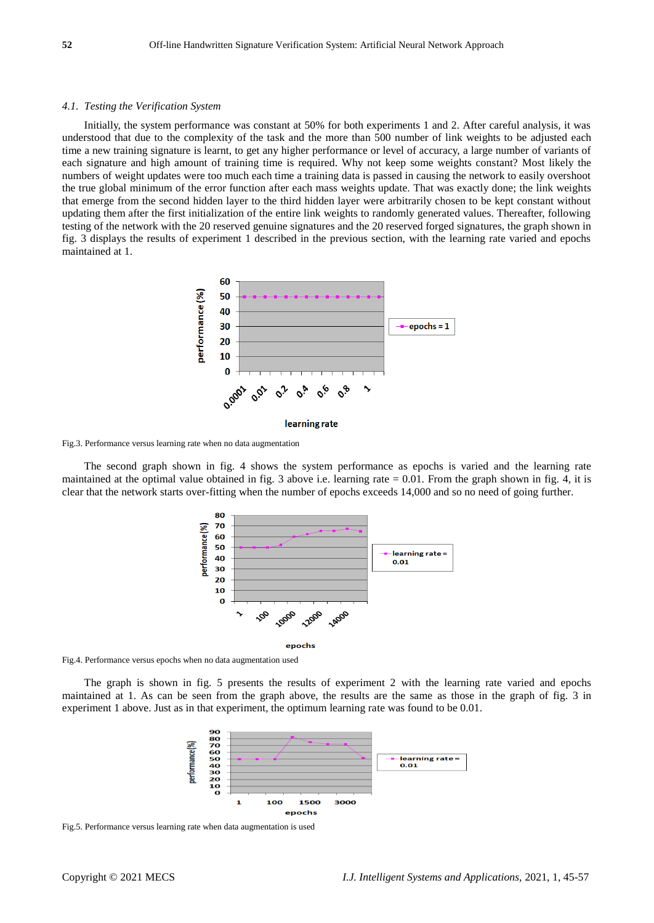## *4.1. Testing the Verification System*

Initially, the system performance was constant at 50% for both experiments 1 and 2. After careful analysis, it was understood that due to the complexity of the task and the more than 500 number of link weights to be adjusted each time a new training signature is learnt, to get any higher performance or level of accuracy, a large number of variants of each signature and high amount of training time is required. Why not keep some weights constant? Most likely the numbers of weight updates were too much each time a training data is passed in causing the network to easily overshoot the true global minimum of the error function after each mass weights update. That was exactly done; the link weights that emerge from the second hidden layer to the third hidden layer were arbitrarily chosen to be kept constant without updating them after the first initialization of the entire link weights to randomly generated values. Thereafter, following testing of the network with the 20 reserved genuine signatures and the 20 reserved forged signatures, the graph shown in fig. 3 displays the results of experiment 1 described in the previous section, with the learning rate varied and epochs maintained at 1.



Fig.3. Performance versus learning rate when no data augmentation

The second graph shown in fig. 4 shows the system performance as epochs is varied and the learning rate maintained at the optimal value obtained in fig. 3 above i.e. learning rate  $= 0.01$ . From the graph shown in fig. 4, it is clear that the network starts over-fitting when the number of epochs exceeds 14,000 and so no need of going further.



Fig.4. Performance versus epochs when no data augmentation used

The graph is shown in fig. 5 presents the results of experiment 2 with the learning rate varied and epochs maintained at 1. As can be seen from the graph above, the results are the same as those in the graph of fig. 3 in experiment 1 above. Just as in that experiment, the optimum learning rate was found to be 0.01.



Fig.5. Performance versus learning rate when data augmentation is used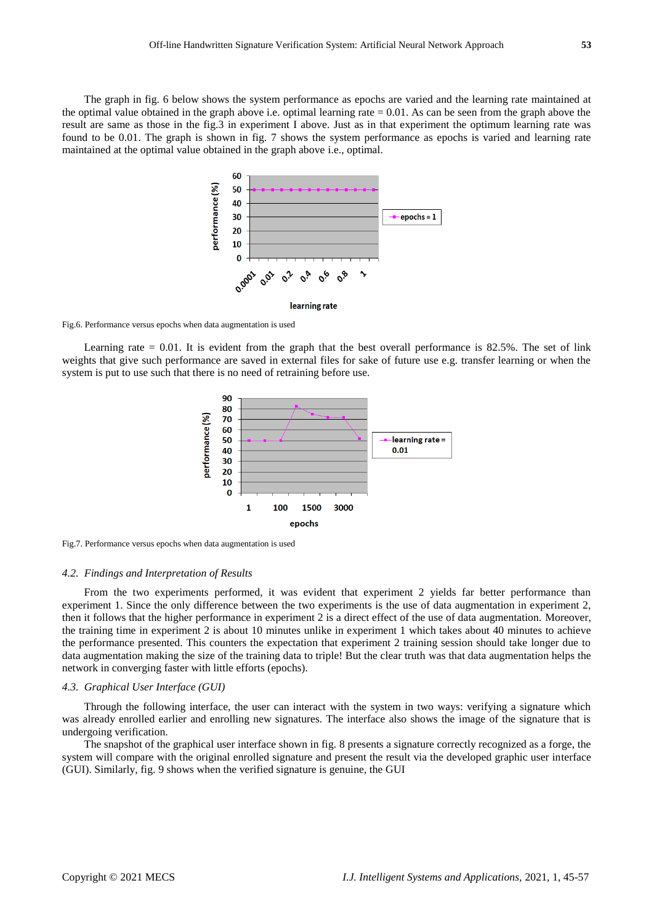The graph in fig. 6 below shows the system performance as epochs are varied and the learning rate maintained at the optimal value obtained in the graph above i.e. optimal learning rate  $= 0.01$ . As can be seen from the graph above the result are same as those in the fig.3 in experiment I above. Just as in that experiment the optimum learning rate was found to be 0.01. The graph is shown in fig. 7 shows the system performance as epochs is varied and learning rate maintained at the optimal value obtained in the graph above i.e., optimal.



Fig.6. Performance versus epochs when data augmentation is used

Learning rate  $= 0.01$ . It is evident from the graph that the best overall performance is 82.5%. The set of link weights that give such performance are saved in external files for sake of future use e.g. transfer learning or when the system is put to use such that there is no need of retraining before use.



Fig.7. Performance versus epochs when data augmentation is used

#### *4.2. Findings and Interpretation of Results*

From the two experiments performed, it was evident that experiment 2 yields far better performance than experiment 1. Since the only difference between the two experiments is the use of data augmentation in experiment 2, then it follows that the higher performance in experiment 2 is a direct effect of the use of data augmentation. Moreover, the training time in experiment 2 is about 10 minutes unlike in experiment 1 which takes about 40 minutes to achieve the performance presented. This counters the expectation that experiment 2 training session should take longer due to data augmentation making the size of the training data to triple! But the clear truth was that data augmentation helps the network in converging faster with little efforts (epochs).

### *4.3. Graphical User Interface (GUI)*

Through the following interface, the user can interact with the system in two ways: verifying a signature which was already enrolled earlier and enrolling new signatures. The interface also shows the image of the signature that is undergoing verification.

The snapshot of the graphical user interface shown in fig. 8 presents a signature correctly recognized as a forge, the system will compare with the original enrolled signature and present the result via the developed graphic user interface (GUI). Similarly, fig. 9 shows when the verified signature is genuine, the GUI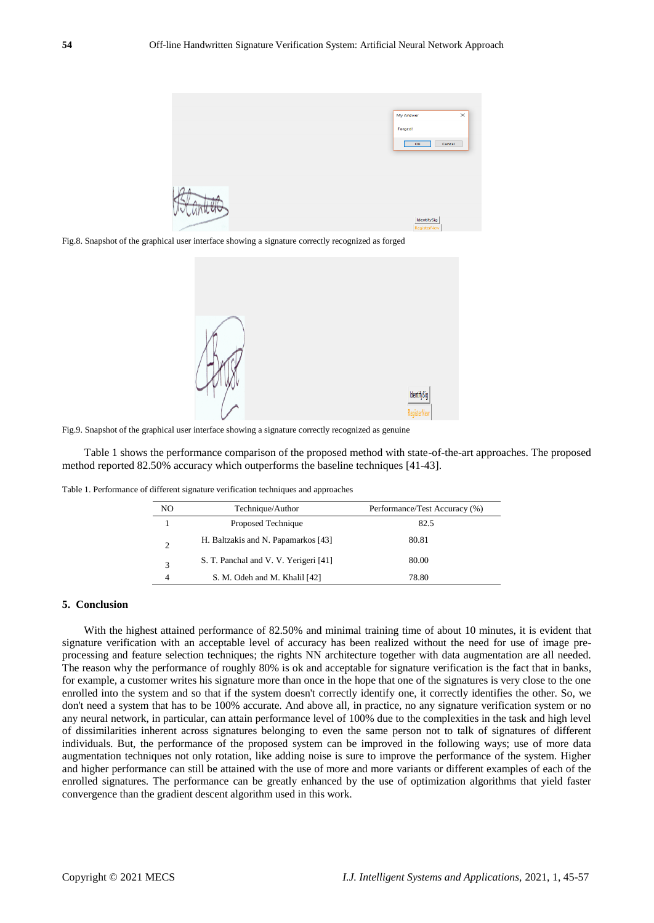

Fig.8. Snapshot of the graphical user interface showing a signature correctly recognized as forged



Fig.9. Snapshot of the graphical user interface showing a signature correctly recognized as genuine

Table 1 shows the performance comparison of the proposed method with state-of-the-art approaches. The proposed method reported 82.50% accuracy which outperforms the baseline techniques [41-43].

Table 1. Performance of different signature verification techniques and approaches

| NO                          | Technique/Author                      | Performance/Test Accuracy (%) |
|-----------------------------|---------------------------------------|-------------------------------|
|                             | Proposed Technique                    | 82.5                          |
| $\mathcal{D}_{\mathcal{A}}$ | H. Baltzakis and N. Papamarkos [43]   | 80.81                         |
| 3                           | S. T. Panchal and V. V. Yerigeri [41] | 80.00                         |
|                             | S. M. Odeh and M. Khalil [42]         | 78.80                         |

## **5. Conclusion**

With the highest attained performance of 82.50% and minimal training time of about 10 minutes, it is evident that signature verification with an acceptable level of accuracy has been realized without the need for use of image preprocessing and feature selection techniques; the rights NN architecture together with data augmentation are all needed. The reason why the performance of roughly 80% is ok and acceptable for signature verification is the fact that in banks, for example, a customer writes his signature more than once in the hope that one of the signatures is very close to the one enrolled into the system and so that if the system doesn't correctly identify one, it correctly identifies the other. So, we don't need a system that has to be 100% accurate. And above all, in practice, no any signature verification system or no any neural network, in particular, can attain performance level of 100% due to the complexities in the task and high level of dissimilarities inherent across signatures belonging to even the same person not to talk of signatures of different individuals. But, the performance of the proposed system can be improved in the following ways; use of more data augmentation techniques not only rotation, like adding noise is sure to improve the performance of the system. Higher and higher performance can still be attained with the use of more and more variants or different examples of each of the enrolled signatures. The performance can be greatly enhanced by the use of optimization algorithms that yield faster convergence than the gradient descent algorithm used in this work.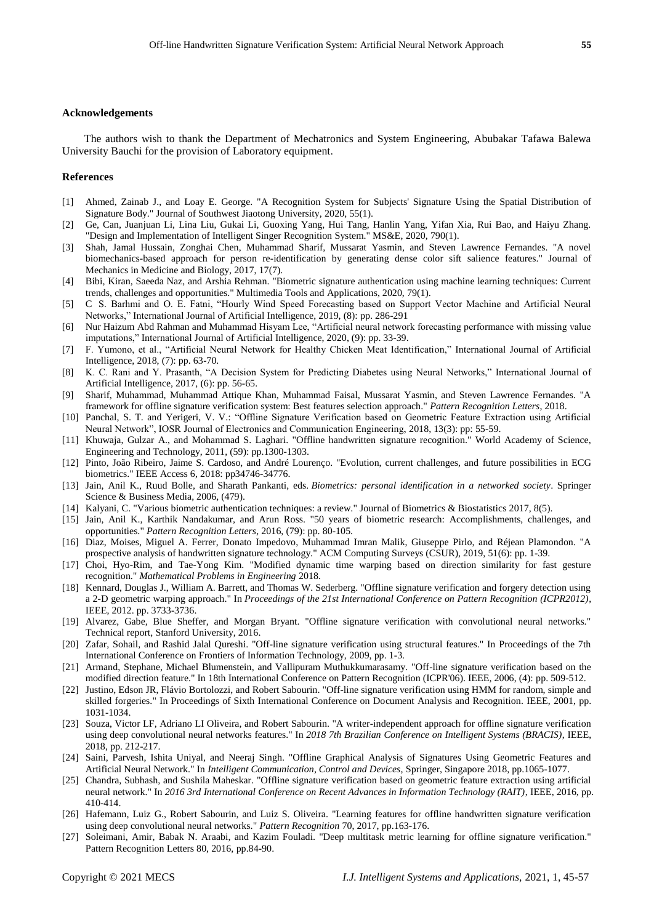## **Acknowledgements**

The authors wish to thank the Department of Mechatronics and System Engineering, Abubakar Tafawa Balewa University Bauchi for the provision of Laboratory equipment.

#### **References**

- [1] Ahmed, Zainab J., and Loay E. George. "A Recognition System for Subjects' Signature Using the Spatial Distribution of Signature Body." Journal of Southwest Jiaotong University, 2020, 55(1).
- [2] Ge, Can, Juanjuan Li, Lina Liu, Gukai Li, Guoxing Yang, Hui Tang, Hanlin Yang, Yifan Xia, Rui Bao, and Haiyu Zhang. "Design and Implementation of Intelligent Singer Recognition System." MS&E, 2020, 790(1).
- [3] Shah, Jamal Hussain, Zonghai Chen, Muhammad Sharif, Mussarat Yasmin, and Steven Lawrence Fernandes. "A novel biomechanics-based approach for person re-identification by generating dense color sift salience features." Journal of Mechanics in Medicine and Biology, 2017, 17(7).
- [4] Bibi, Kiran, Saeeda Naz, and Arshia Rehman. "Biometric signature authentication using machine learning techniques: Current trends, challenges and opportunities." Multimedia Tools and Applications, 2020, 79(1).
- [5] C S. Barhmi and O. E. Fatni, "Hourly Wind Speed Forecasting based on Support Vector Machine and Artificial Neural Networks," International Journal of Artificial Intelligence, 2019, (8): pp. 286-291
- [6] Nur Haizum Abd Rahman and Muhammad Hisyam Lee, "Artificial neural network forecasting performance with missing value imputations," International Journal of Artificial Intelligence, 2020, (9): pp. 33-39.
- [7] F. Yumono, et al., "Artificial Neural Network for Healthy Chicken Meat Identification," International Journal of Artificial Intelligence, 2018, (7): pp. 63-70.
- [8] K. C. Rani and Y. Prasanth, "A Decision System for Predicting Diabetes using Neural Networks," International Journal of Artificial Intelligence, 2017, (6): pp. 56-65.
- [9] Sharif, Muhammad, Muhammad Attique Khan, Muhammad Faisal, Mussarat Yasmin, and Steven Lawrence Fernandes. "A framework for offline signature verification system: Best features selection approach." *Pattern Recognition Letters*, 2018.
- [10] Panchal, S. T. and Yerigeri, V. V.: "Offline Signature Verification based on Geometric Feature Extraction using Artificial Neural Network", IOSR Journal of Electronics and Communication Engineering, 2018, 13(3): pp: 55-59.
- [11] Khuwaja, Gulzar A., and Mohammad S. Laghari. "Offline handwritten signature recognition." World Academy of Science, Engineering and Technology, 2011, (59): pp.1300-1303.
- [12] Pinto, João Ribeiro, Jaime S. Cardoso, and André Lourenço. "Evolution, current challenges, and future possibilities in ECG biometrics." IEEE Access 6, 2018: pp34746-34776.
- [13] Jain, Anil K., Ruud Bolle, and Sharath Pankanti, eds. *Biometrics: personal identification in a networked society*. Springer Science & Business Media, 2006, (479).
- [14] Kalyani, C. "Various biometric authentication techniques: a review." Journal of Biometrics & Biostatistics 2017, 8(5).
- [15] Jain, Anil K., Karthik Nandakumar, and Arun Ross. "50 years of biometric research: Accomplishments, challenges, and opportunities." *Pattern Recognition Letters,* 2016, (79): pp. 80-105.
- [16] Diaz, Moises, Miguel A. Ferrer, Donato Impedovo, Muhammad Imran Malik, Giuseppe Pirlo, and Réjean Plamondon. "A prospective analysis of handwritten signature technology." ACM Computing Surveys (CSUR), 2019, 51(6): pp. 1-39.
- [17] Choi, Hyo-Rim, and Tae-Yong Kim. "Modified dynamic time warping based on direction similarity for fast gesture recognition." *Mathematical Problems in Engineering* 2018.
- [18] Kennard, Douglas J., William A. Barrett, and Thomas W. Sederberg. "Offline signature verification and forgery detection using a 2-D geometric warping approach." In *Proceedings of the 21st International Conference on Pattern Recognition (ICPR2012)*, IEEE, 2012. pp. 3733-3736.
- [19] Alvarez, Gabe, Blue Sheffer, and Morgan Bryant. "Offline signature verification with convolutional neural networks." Technical report, Stanford University, 2016.
- [20] Zafar, Sohail, and Rashid Jalal Qureshi. "Off-line signature verification using structural features." In Proceedings of the 7th International Conference on Frontiers of Information Technology, 2009, pp. 1-3.
- [21] Armand, Stephane, Michael Blumenstein, and Vallipuram Muthukkumarasamy. "Off-line signature verification based on the modified direction feature." In 18th International Conference on Pattern Recognition (ICPR'06). IEEE, 2006, (4): pp. 509-512.
- [22] Justino, Edson JR, Flávio Bortolozzi, and Robert Sabourin. "Off-line signature verification using HMM for random, simple and skilled forgeries." In Proceedings of Sixth International Conference on Document Analysis and Recognition. IEEE, 2001, pp. 1031-1034.
- [23] Souza, Victor LF, Adriano LI Oliveira, and Robert Sabourin. "A writer-independent approach for offline signature verification using deep convolutional neural networks features." In *2018 7th Brazilian Conference on Intelligent Systems (BRACIS)*, IEEE, 2018, pp. 212-217.
- [24] Saini, Parvesh, Ishita Uniyal, and Neeraj Singh. "Offline Graphical Analysis of Signatures Using Geometric Features and Artificial Neural Network." In *Intelligent Communication, Control and Devices*, Springer, Singapore 2018, pp.1065-1077.
- [25] Chandra, Subhash, and Sushila Maheskar. "Offline signature verification based on geometric feature extraction using artificial neural network." In *2016 3rd International Conference on Recent Advances in Information Technology (RAIT)*, IEEE, 2016, pp. 410-414.
- [26] Hafemann, Luiz G., Robert Sabourin, and Luiz S. Oliveira. "Learning features for offline handwritten signature verification using deep convolutional neural networks." *Pattern Recognition* 70, 2017, pp.163-176.
- [27] Soleimani, Amir, Babak N. Araabi, and Kazim Fouladi. "Deep multitask metric learning for offline signature verification." Pattern Recognition Letters 80, 2016, pp.84-90.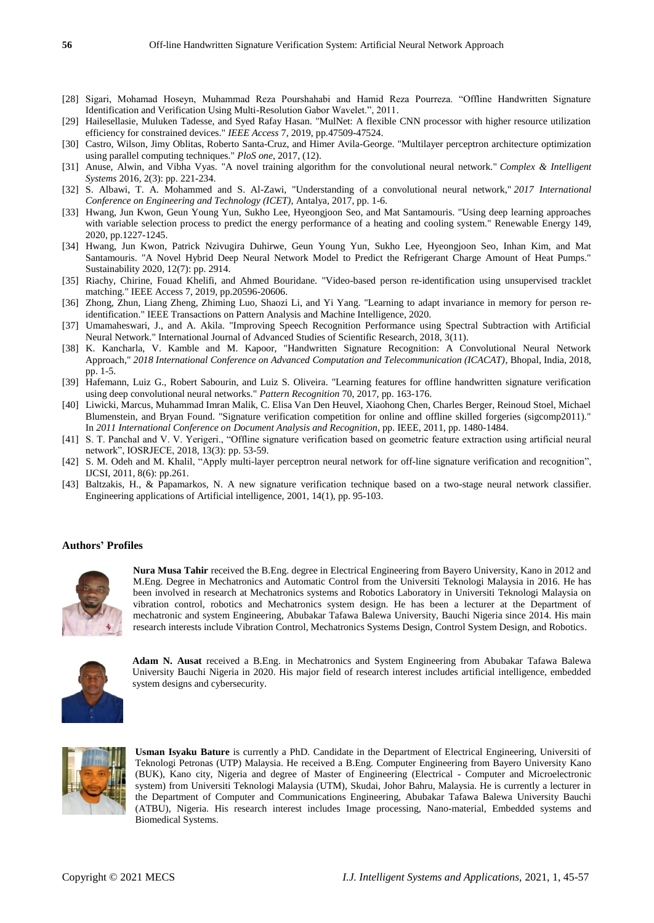- [28] Sigari, Mohamad Hoseyn, Muhammad Reza Pourshahabi and Hamid Reza Pourreza. "Offline Handwritten Signature Identification and Verification Using Multi-Resolution Gabor Wavelet.", 2011.
- [29] Hailesellasie, Muluken Tadesse, and Syed Rafay Hasan. "MulNet: A flexible CNN processor with higher resource utilization efficiency for constrained devices." *IEEE Access* 7, 2019, pp.47509-47524.
- [30] Castro, Wilson, Jimy Oblitas, Roberto Santa-Cruz, and Himer Avila-George. "Multilayer perceptron architecture optimization using parallel computing techniques." *PloS one*, 2017, (12).
- [31] Anuse, Alwin, and Vibha Vyas. "A novel training algorithm for the convolutional neural network." *Complex & Intelligent Systems* 2016, 2(3): pp. 221-234.
- [32] S. Albawi, T. A. Mohammed and S. Al-Zawi, "Understanding of a convolutional neural network," *2017 International Conference on Engineering and Technology (ICET)*, Antalya, 2017, pp. 1-6.
- [33] Hwang, Jun Kwon, Geun Young Yun, Sukho Lee, Hyeongjoon Seo, and Mat Santamouris. "Using deep learning approaches with variable selection process to predict the energy performance of a heating and cooling system." Renewable Energy 149, 2020, pp.1227-1245.
- [34] Hwang, Jun Kwon, Patrick Nzivugira Duhirwe, Geun Young Yun, Sukho Lee, Hyeongjoon Seo, Inhan Kim, and Mat Santamouris. "A Novel Hybrid Deep Neural Network Model to Predict the Refrigerant Charge Amount of Heat Pumps." Sustainability 2020, 12(7): pp. 2914.
- [35] Riachy, Chirine, Fouad Khelifi, and Ahmed Bouridane. "Video-based person re-identification using unsupervised tracklet matching." IEEE Access 7, 2019, pp.20596-20606.
- [36] Zhong, Zhun, Liang Zheng, Zhiming Luo, Shaozi Li, and Yi Yang. "Learning to adapt invariance in memory for person reidentification." IEEE Transactions on Pattern Analysis and Machine Intelligence, 2020.
- [37] Umamaheswari, J., and A. Akila. "Improving Speech Recognition Performance using Spectral Subtraction with Artificial Neural Network." International Journal of Advanced Studies of Scientific Research, 2018, 3(11).
- [38] K. Kancharla, V. Kamble and M. Kapoor, "Handwritten Signature Recognition: A Convolutional Neural Network Approach," *2018 International Conference on Advanced Computation and Telecommunication (ICACAT)*, Bhopal, India, 2018, pp. 1-5.
- [39] Hafemann, Luiz G., Robert Sabourin, and Luiz S. Oliveira. "Learning features for offline handwritten signature verification using deep convolutional neural networks." *Pattern Recognition* 70, 2017, pp. 163-176.
- [40] Liwicki, Marcus, Muhammad Imran Malik, C. Elisa Van Den Heuvel, Xiaohong Chen, Charles Berger, Reinoud Stoel, Michael Blumenstein, and Bryan Found. "Signature verification competition for online and offline skilled forgeries (sigcomp2011)." In *2011 International Conference on Document Analysis and Recognition*, pp. IEEE, 2011, pp. 1480-1484.
- [41] S. T. Panchal and V. V. Yerigeri., "Offline signature verification based on geometric feature extraction using artificial neural network", IOSRJECE, 2018, 13(3): pp. 53-59.
- [42] S. M. Odeh and M. Khalil, "Apply multi-layer perceptron neural network for off-line signature verification and recognition", IJCSI, 2011, 8(6): pp.261.
- [43] Baltzakis, H., & Papamarkos, N. A new signature verification technique based on a two-stage neural network classifier. Engineering applications of Artificial intelligence, 2001, 14(1), pp. 95-103.

## **Authors' Profiles**



**Nura Musa Tahir** received the B.Eng. degree in Electrical Engineering from Bayero University, Kano in 2012 and M.Eng. Degree in Mechatronics and Automatic Control from the Universiti Teknologi Malaysia in 2016. He has been involved in research at Mechatronics systems and Robotics Laboratory in Universiti Teknologi Malaysia on vibration control, robotics and Mechatronics system design. He has been a lecturer at the Department of mechatronic and system Engineering, Abubakar Tafawa Balewa University, Bauchi Nigeria since 2014. His main research interests include Vibration Control, Mechatronics Systems Design, Control System Design, and Robotics.



**Adam N. Ausat** received a B.Eng. in Mechatronics and System Engineering from Abubakar Tafawa Balewa University Bauchi Nigeria in 2020. His major field of research interest includes artificial intelligence, embedded system designs and cybersecurity.



**Usman Isyaku Bature** is currently a PhD. Candidate in the Department of Electrical Engineering, Universiti of Teknologi Petronas (UTP) Malaysia. He received a B.Eng. Computer Engineering from Bayero University Kano (BUK), Kano city, Nigeria and degree of Master of Engineering (Electrical - Computer and Microelectronic system) from Universiti Teknologi Malaysia (UTM), Skudai, Johor Bahru, Malaysia. He is currently a lecturer in the Department of Computer and Communications Engineering, Abubakar Tafawa Balewa University Bauchi (ATBU), Nigeria. His research interest includes Image processing, Nano-material, Embedded systems and Biomedical Systems.